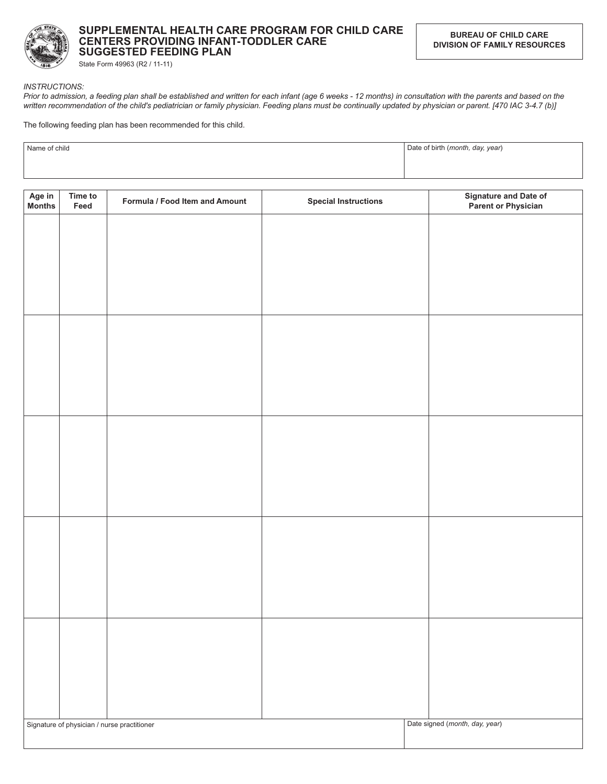

## SUPPLEMENTAL HEALTH CARE PROGRAM FOR CHILD CARE CENTERS PROVIDING INFANT-TODDLER CARE **SUGGESTED FEEDING PLAN**

State Form 49963 (R2 / 11-11)

## **INSTRUCTIONS:**

Prior to admission, a feeding plan shall be established and written for each infant (age 6 weeks - 12 months) in consultation with the parents and based on the written recommendation of the child's pediatrician or family physician. Feeding plans must be continually updated by physician or parent. [470 IAC 3-4.7 (b)]

The following feeding plan has been recommended for this child.

| Name of child | Date of birth (month, day, year) |
|---------------|----------------------------------|
|               |                                  |

| Age in<br>Months | Time to<br>Feed | Formula / Food Item and Amount              | <b>Special Instructions</b> | Signature and Date of<br>Parent or Physician |
|------------------|-----------------|---------------------------------------------|-----------------------------|----------------------------------------------|
|                  |                 |                                             |                             |                                              |
|                  |                 |                                             |                             |                                              |
|                  |                 |                                             |                             |                                              |
|                  |                 |                                             |                             |                                              |
|                  |                 |                                             |                             |                                              |
|                  |                 |                                             |                             |                                              |
|                  |                 |                                             |                             |                                              |
|                  |                 |                                             |                             |                                              |
|                  |                 |                                             |                             |                                              |
|                  |                 |                                             |                             |                                              |
|                  |                 |                                             |                             |                                              |
|                  |                 |                                             |                             |                                              |
|                  |                 |                                             |                             |                                              |
|                  |                 |                                             |                             |                                              |
|                  |                 |                                             |                             |                                              |
|                  |                 |                                             |                             |                                              |
|                  |                 | Signature of physician / nurse practitioner |                             | Date signed (month, day, year)               |
|                  |                 |                                             |                             |                                              |